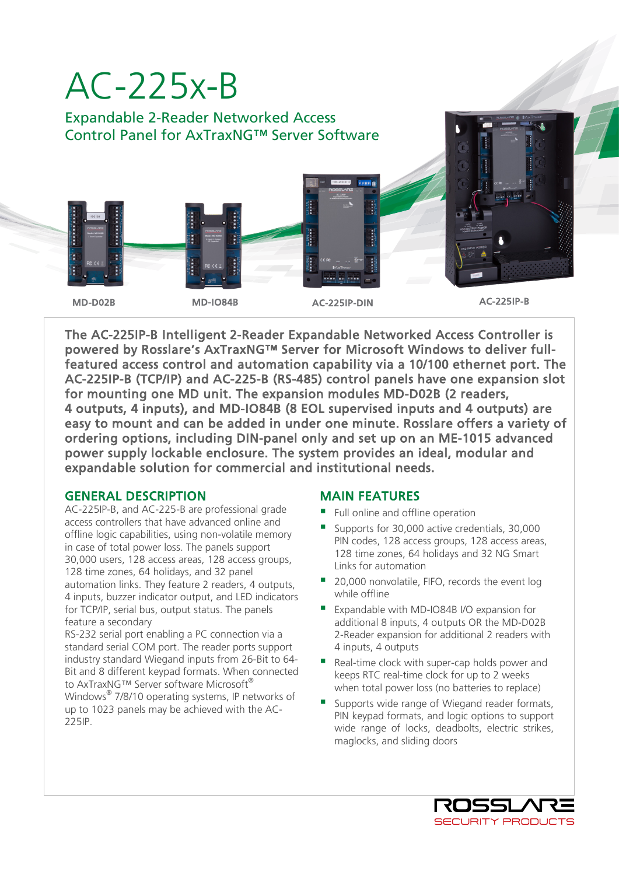

The AC-225IP-B Intelligent 2-Reader Expandable Networked Access Controller is powered by Rosslare's AxTraxNG™ Server for Microsoft Windows to deliver fullfeatured access control and automation capability via a 10/100 ethernet port. The AC-225IP-B (TCP/IP) and AC-225-B (RS-485) control panels have one expansion slot for mounting one MD unit. The expansion modules MD-D02B (2 readers, 4 outputs, 4 inputs), and MD-IO84B (8 EOL supervised inputs and 4 outputs) are easy to mount and can be added in under one minute. Rosslare offers a variety of ordering options, including DIN-panel only and set up on an ME-1015 advanced power supply lockable enclosure. The system provides an ideal, modular and expandable solution for commercial and institutional needs.

### GENERAL DESCRIPTION

AC-225IP-B, and AC-225-B are professional grade access controllers that have advanced online and offline logic capabilities, using non-volatile memory in case of total power loss. The panels support 30,000 users, 128 access areas, 128 access groups, 128 time zones, 64 holidays, and 32 panel automation links. They feature 2 readers, 4 outputs, 4 inputs, buzzer indicator output, and LED indicators for TCP/IP, serial bus, output status. The panels feature a secondary

RS-232 serial port enabling a PC connection via a standard serial COM port. The reader ports support industry standard Wiegand inputs from 26-Bit to 64- Bit and 8 different keypad formats. When connected to AxTraxNG™ Server software Microsoft® Windows® 7/8/10 operating systems, IP networks of up to 1023 panels may be achieved with the AC-225IP.

## MAIN FEATURES

- Full online and offline operation
- Supports for 30,000 active credentials, 30,000 PIN codes, 128 access groups, 128 access areas, 128 time zones, 64 holidays and 32 NG Smart Links for automation
- 20,000 nonvolatile, FIFO, records the event log while offline
- Expandable with MD-IO84B I/O expansion for additional 8 inputs, 4 outputs OR the MD-D02B 2-Reader expansion for additional 2 readers with 4 inputs, 4 outputs
- Real-time clock with super-cap holds power and keeps RTC real-time clock for up to 2 weeks when total power loss (no batteries to replace)
- Supports wide range of Wiegand reader formats, PIN keypad formats, and logic options to support wide range of locks, deadbolts, electric strikes, maglocks, and sliding doors